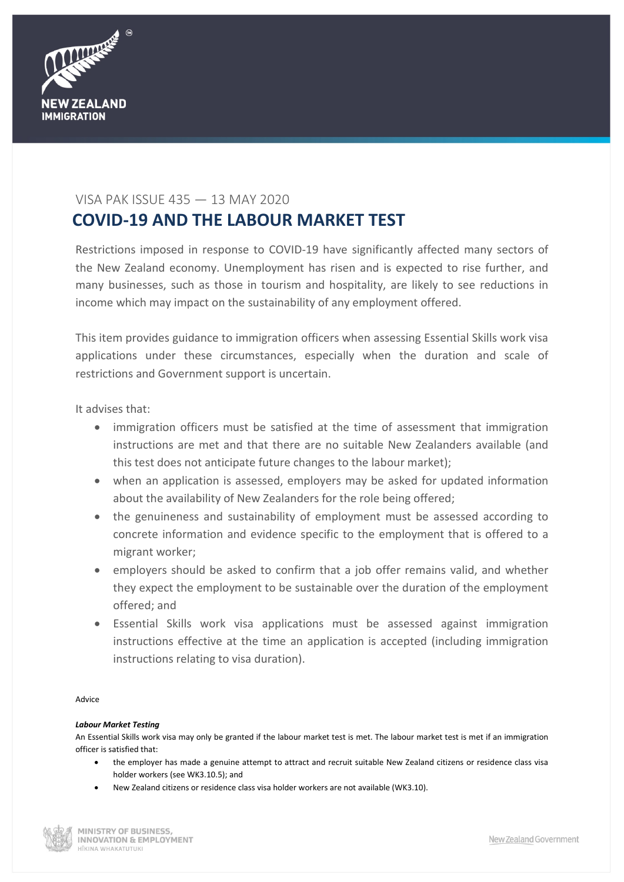

## VISA PAK ISSUE 435 — 13 MAY 2020

# **COVID-19 AND THE LABOUR MARKET TEST**

Restrictions imposed in response to COVID-19 have significantly affected many sectors of the New Zealand economy. Unemployment has risen and is expected to rise further, and many businesses, such as those in tourism and hospitality, are likely to see reductions in income which may impact on the sustainability of any employment offered.

This item provides guidance to immigration officers when assessing Essential Skills work visa applications under these circumstances, especially when the duration and scale of restrictions and Government support is uncertain.

It advises that:

- immigration officers must be satisfied at the time of assessment that immigration instructions are met and that there are no suitable New Zealanders available (and this test does not anticipate future changes to the labour market);
- when an application is assessed, employers may be asked for updated information about the availability of New Zealanders for the role being offered;
- the genuineness and sustainability of employment must be assessed according to concrete information and evidence specific to the employment that is offered to a migrant worker;
- employers should be asked to confirm that a job offer remains valid, and whether they expect the employment to be sustainable over the duration of the employment offered; and
- Essential Skills work visa applications must be assessed against immigration instructions effective at the time an application is accepted (including immigration instructions relating to visa duration).

Advice

### *Labour Market Testing*

An Essential Skills work visa may only be granted if the labour market test is met. The labour market test is met if an immigration officer is satisfied that:

- the employer has made a genuine attempt to attract and recruit suitable New Zealand citizens or residence class visa holder workers (see WK3.10.5); and
- New Zealand citizens or residence class visa holder workers are not available (WK3.10).

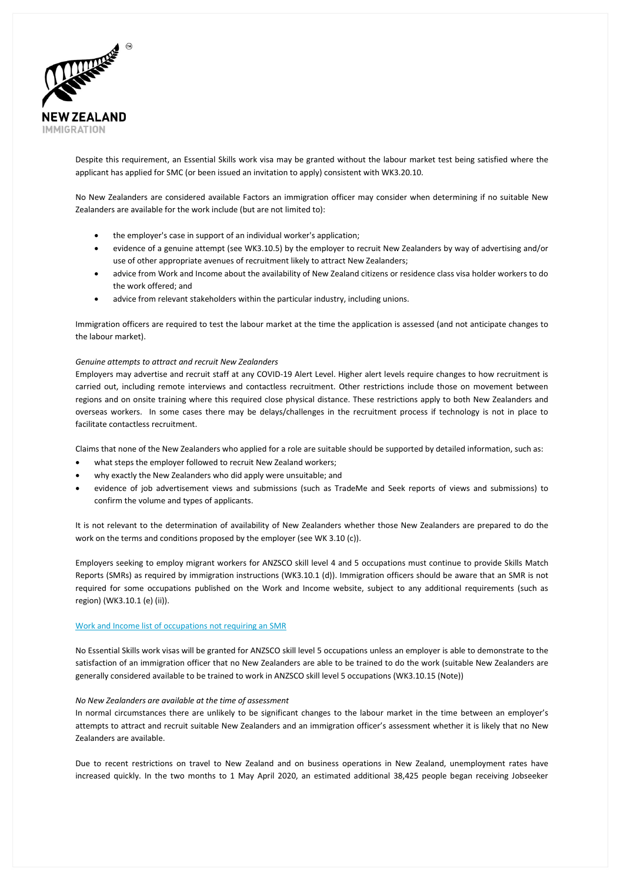

Despite this requirement, an Essential Skills work visa may be granted without the labour market test being satisfied where the applicant has applied for SMC (or been issued an invitation to apply) consistent with WK3.20.10.

No New Zealanders are considered available Factors an immigration officer may consider when determining if no suitable New Zealanders are available for the work include (but are not limited to):

- the employer's case in support of an individual worker's application;
- evidence of a genuine attempt (see WK3.10.5) by the employer to recruit New Zealanders by way of advertising and/or use of other appropriate avenues of recruitment likely to attract New Zealanders;
- advice from Work and Income about the availability of New Zealand citizens or residence class visa holder workers to do the work offered; and
- advice from relevant stakeholders within the particular industry, including unions.

Immigration officers are required to test the labour market at the time the application is assessed (and not anticipate changes to the labour market).

#### *Genuine attempts to attract and recruit New Zealanders*

Employers may advertise and recruit staff at any COVID-19 Alert Level. Higher alert levels require changes to how recruitment is carried out, including remote interviews and contactless recruitment. Other restrictions include those on movement between regions and on onsite training where this required close physical distance. These restrictions apply to both New Zealanders and overseas workers. In some cases there may be delays/challenges in the recruitment process if technology is not in place to facilitate contactless recruitment.

Claims that none of the New Zealanders who applied for a role are suitable should be supported by detailed information, such as:

- what steps the employer followed to recruit New Zealand workers;
- why exactly the New Zealanders who did apply were unsuitable; and
- evidence of job advertisement views and submissions (such as TradeMe and Seek reports of views and submissions) to confirm the volume and types of applicants.

It is not relevant to the determination of availability of New Zealanders whether those New Zealanders are prepared to do the work on the terms and conditions proposed by the employer (see WK 3.10 (c)).

Employers seeking to employ migrant workers for ANZSCO skill level 4 and 5 occupations must continue to provide Skills Match Reports (SMRs) as required by immigration instructions (WK3.10.1 (d)). Immigration officers should be aware that an SMR is not required for some occupations published on the Work and Income website, subject to any additional requirements (such as region) (WK3.10.1 (e) (ii)).

#### [Work and Income list of occupations not requiring an](https://www.workandincome.govt.nz/employers/help-with-recruitment/hiring-someone-from-overseas.html#null) SMR

No Essential Skills work visas will be granted for ANZSCO skill level 5 occupations unless an employer is able to demonstrate to the satisfaction of an immigration officer that no New Zealanders are able to be trained to do the work (suitable New Zealanders are generally considered available to be trained to work in ANZSCO skill level 5 occupations (WK3.10.15 (Note))

#### *No New Zealanders are available at the time of assessment*

In normal circumstances there are unlikely to be significant changes to the labour market in the time between an employer's attempts to attract and recruit suitable New Zealanders and an immigration officer's assessment whether it is likely that no New Zealanders are available.

Due to recent restrictions on travel to New Zealand and on business operations in New Zealand, unemployment rates have increased quickly. In the two months to 1 May April 2020, an estimated additional 38,425 people began receiving Jobseeker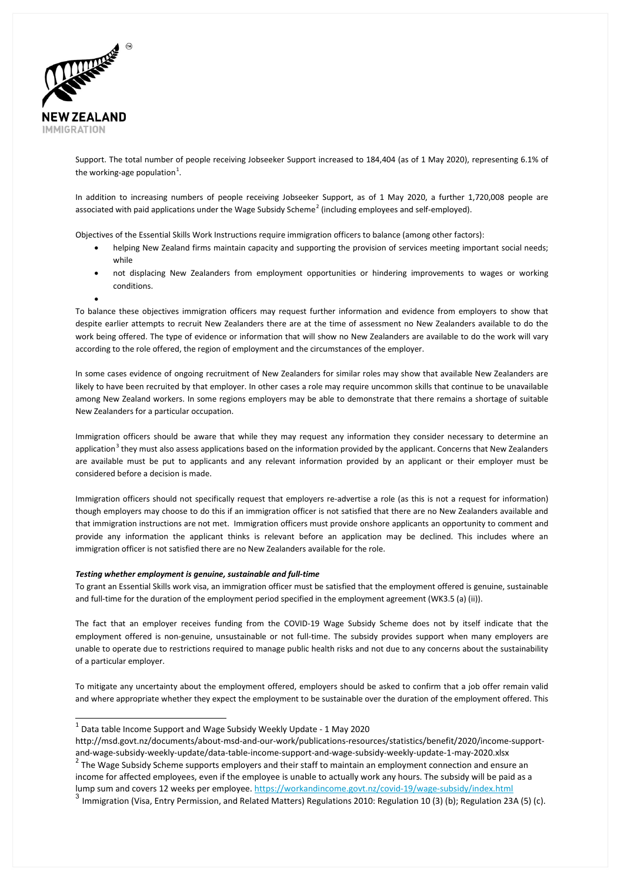

•

Support. The total number of people receiving Jobseeker Support increased to 184,404 (as of 1 May 2020), representing 6.1% of the working-age population $^1$  $^1$ .

In addition to increasing numbers of people receiving Jobseeker Support, as of 1 May 2020, a further 1,720,008 people are associated with paid applications under the Wage Subsidy Scheme<sup>[2](#page-2-1)</sup> (including employees and self-employed).

Objectives of the Essential Skills Work Instructions require immigration officers to balance (among other factors):

- helping New Zealand firms maintain capacity and supporting the provision of services meeting important social needs; while
- not displacing New Zealanders from employment opportunities or hindering improvements to wages or working conditions.

To balance these objectives immigration officers may request further information and evidence from employers to show that despite earlier attempts to recruit New Zealanders there are at the time of assessment no New Zealanders available to do the work being offered. The type of evidence or information that will show no New Zealanders are available to do the work will vary according to the role offered, the region of employment and the circumstances of the employer.

In some cases evidence of ongoing recruitment of New Zealanders for similar roles may show that available New Zealanders are likely to have been recruited by that employer. In other cases a role may require uncommon skills that continue to be unavailable among New Zealand workers. In some regions employers may be able to demonstrate that there remains a shortage of suitable New Zealanders for a particular occupation.

Immigration officers should be aware that while they may request any information they consider necessary to determine an application<sup>[3](#page-2-2)</sup> they must also assess applications based on the information provided by the applicant. Concerns that New Zealanders are available must be put to applicants and any relevant information provided by an applicant or their employer must be considered before a decision is made.

Immigration officers should not specifically request that employers re-advertise a role (as this is not a request for information) though employers may choose to do this if an immigration officer is not satisfied that there are no New Zealanders available and that immigration instructions are not met. Immigration officers must provide onshore applicants an opportunity to comment and provide any information the applicant thinks is relevant before an application may be declined. This includes where an immigration officer is not satisfied there are no New Zealanders available for the role.

#### *Testing whether employment is genuine, sustainable and full-time*

To grant an Essential Skills work visa, an immigration officer must be satisfied that the employment offered is genuine, sustainable and full-time for the duration of the employment period specified in the employment agreement (WK3.5 (a) (ii)).

The fact that an employer receives funding from the COVID-19 Wage Subsidy Scheme does not by itself indicate that the employment offered is non-genuine, unsustainable or not full-time. The subsidy provides support when many employers are unable to operate due to restrictions required to manage public health risks and not due to any concerns about the sustainability of a particular employer.

To mitigate any uncertainty about the employment offered, employers should be asked to confirm that a job offer remain valid and where appropriate whether they expect the employment to be sustainable over the duration of the employment offered. This

 $1$  Data table Income Support and Wage Subsidy Weekly Update - 1 May 2020

http://msd.govt.nz/documents/about-msd-and-our-work/publications-resources/statistics/benefit/2020/income-support-

<span id="page-2-1"></span><span id="page-2-0"></span>and-wage-subsidy-weekly-update/data-table-income-support-and-wage-subsidy-weekly-update-1-may-2020.xlsx <sup>2</sup> The Wage Subsidy Scheme supports employers and their staff to maintain an employment connection and ensure an income for affected employees, even if the employee is unable to actually work any hours. The subsidy will be paid as a lump sum and covers 12 weeks per employee.<https://workandincome.govt.nz/covid-19/wage-subsidy/index.html>

<span id="page-2-2"></span> $3$  Immigration (Visa, Entry Permission, and Related Matters) Regulations 2010: Regulation 10 (3) (b); Regulation 23A (5) (c).